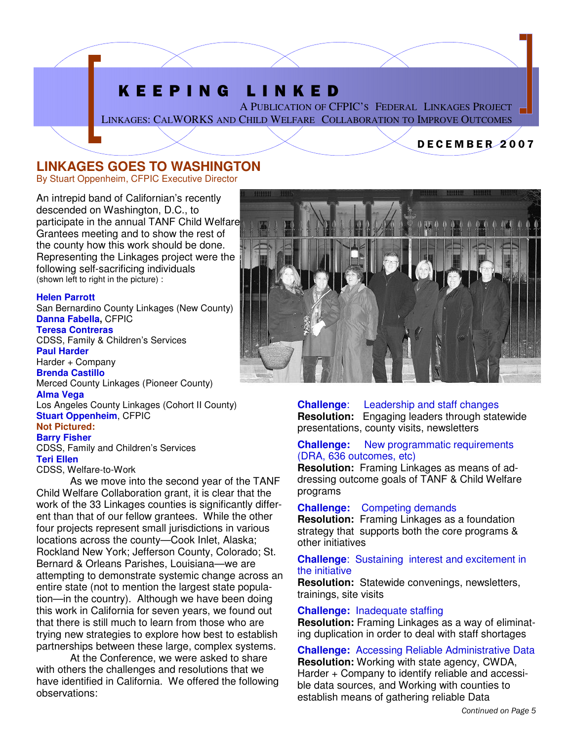## K E E P I N G L I N K E D

A PUBLICATION OF CFPIC'S FEDERAL LINKAGES PROJECT LINKAGES: CALWORKS AND CHILD WELFARE COLLABORATION TO IMPROVE OUTCOMES

### D E C E M B E R 2 0 0 7

### **LINKAGES GOES TO WASHINGTON**

By Stuart Oppenheim, CFPIC Executive Director

An intrepid band of Californian's recently descended on Washington, D.C., to participate in the annual TANF Child Welfare Grantees meeting and to show the rest of the county how this work should be done. Representing the Linkages project were the following self-sacrificing individuals (shown left to right in the picture) :

#### **Helen Parrott**

San Bernardino County Linkages (New County) **Danna Fabella,** CFPIC

### **Teresa Contreras**

CDSS, Family & Children's Services **Paul Harder**  Harder + Company **Brenda Castillo** 

Merced County Linkages (Pioneer County)

#### **Alma Vega**

Los Angeles County Linkages (Cohort II County) **Stuart Oppenheim**, CFPIC **Not Pictured:** 

### **Barry Fisher**

CDSS, Family and Children's Services **Teri Ellen** 

### CDSS, Welfare-to-Work

 As we move into the second year of the TANF Child Welfare Collaboration grant, it is clear that the work of the 33 Linkages counties is significantly different than that of our fellow grantees. While the other four projects represent small jurisdictions in various locations across the county—Cook Inlet, Alaska; Rockland New York; Jefferson County, Colorado; St. Bernard & Orleans Parishes, Louisiana—we are attempting to demonstrate systemic change across an entire state (not to mention the largest state population—in the country). Although we have been doing this work in California for seven years, we found out that there is still much to learn from those who are trying new strategies to explore how best to establish partnerships between these large, complex systems.

 At the Conference, we were asked to share with others the challenges and resolutions that we have identified in California. We offered the following observations:



**Challenge**: Leadership and staff changes **Resolution:** Engaging leaders through statewide presentations, county visits, newsletters

### **Challenge:** New programmatic requirements (DRA, 636 outcomes, etc)

**Resolution:** Framing Linkages as means of addressing outcome goals of TANF & Child Welfare programs

**Challenge:** Competing demands

**Resolution:** Framing Linkages as a foundation strategy that supports both the core programs & other initiatives

**Challenge**: Sustaining interest and excitement in the initiative

**Resolution:** Statewide convenings, newsletters, trainings, site visits

### **Challenge:** Inadequate staffing

**Resolution:** Framing Linkages as a way of eliminating duplication in order to deal with staff shortages

**Challenge:** Accessing Reliable Administrative Data **Resolution:** Working with state agency, CWDA, Harder + Company to identify reliable and accessible data sources, and Working with counties to establish means of gathering reliable Data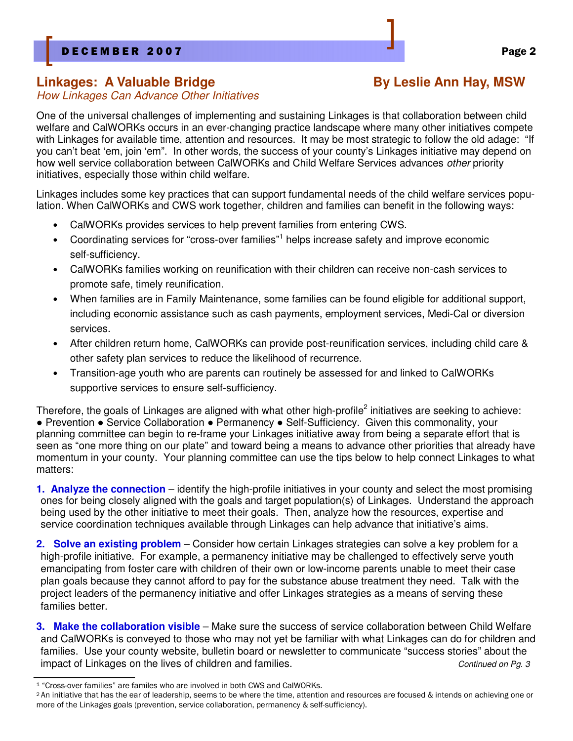### Linkages: A Valuable Bridge **Bridge Example 20 By Leslie Ann Hay, MSW**

### How Linkages Can Advance Other Initiatives

One of the universal challenges of implementing and sustaining Linkages is that collaboration between child welfare and CalWORKs occurs in an ever-changing practice landscape where many other initiatives compete with Linkages for available time, attention and resources. It may be most strategic to follow the old adage: "If you can't beat 'em, join 'em". In other words, the success of your county's Linkages initiative may depend on how well service collaboration between CalWORKs and Child Welfare Services advances other priority initiatives, especially those within child welfare.

Linkages includes some key practices that can support fundamental needs of the child welfare services population. When CalWORKs and CWS work together, children and families can benefit in the following ways:

- CalWORKs provides services to help prevent families from entering CWS.
- Coordinating services for "cross-over families"<sup>1</sup> helps increase safety and improve economic self-sufficiency.
- CalWORKs families working on reunification with their children can receive non-cash services to promote safe, timely reunification.
- When families are in Family Maintenance, some families can be found eligible for additional support, including economic assistance such as cash payments, employment services, Medi-Cal or diversion services.
- After children return home, CalWORKs can provide post-reunification services, including child care & other safety plan services to reduce the likelihood of recurrence.
- Transition-age youth who are parents can routinely be assessed for and linked to CalWORKs supportive services to ensure self-sufficiency.

Therefore, the goals of Linkages are aligned with what other high-profile<sup>2</sup> initiatives are seeking to achieve: ● Prevention ● Service Collaboration ● Permanency ● Self-Sufficiency. Given this commonality, your planning committee can begin to re-frame your Linkages initiative away from being a separate effort that is seen as "one more thing on our plate" and toward being a means to advance other priorities that already have momentum in your county. Your planning committee can use the tips below to help connect Linkages to what matters:

**1. Analyze the connection** – identify the high-profile initiatives in your county and select the most promising ones for being closely aligned with the goals and target population(s) of Linkages. Understand the approach being used by the other initiative to meet their goals. Then, analyze how the resources, expertise and service coordination techniques available through Linkages can help advance that initiative's aims.

**2. Solve an existing problem** – Consider how certain Linkages strategies can solve a key problem for a high-profile initiative. For example, a permanency initiative may be challenged to effectively serve youth emancipating from foster care with children of their own or low-income parents unable to meet their case plan goals because they cannot afford to pay for the substance abuse treatment they need. Talk with the project leaders of the permanency initiative and offer Linkages strategies as a means of serving these families better.

**3. Make the collaboration visible** – Make sure the success of service collaboration between Child Welfare and CalWORKs is conveyed to those who may not yet be familiar with what Linkages can do for children and families. Use your county website, bulletin board or newsletter to communicate "success stories" about the impact of Linkages on the lives of children and families. Continued on Pg. 3

<sup>1</sup> "Cross-over families" are familes who are involved in both CWS and CalWORKs.

<sup>2</sup>An initiative that has the ear of leadership, seems to be where the time, attention and resources are focused & intends on achieving one or more of the Linkages goals (prevention, service collaboration, permanency & self-sufficiency).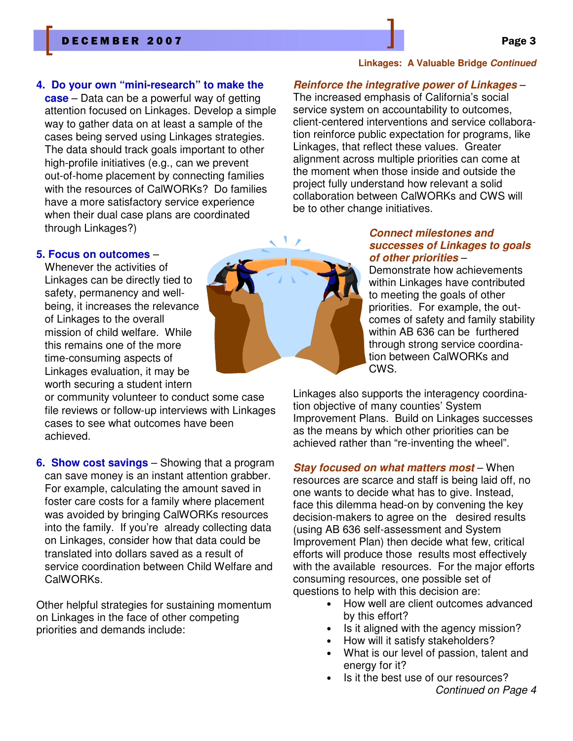### D E C E M B E R 2007 Page 3

### **4. Do your own "mini-research" to make the**

**case** – Data can be a powerful way of getting attention focused on Linkages. Develop a simple way to gather data on at least a sample of the cases being served using Linkages strategies. The data should track goals important to other high-profile initiatives (e.g., can we prevent out-of-home placement by connecting families with the resources of CalWORKs? Do families have a more satisfactory service experience when their dual case plans are coordinated through Linkages?)

### **5. Focus on outcomes** –

Whenever the activities of Linkages can be directly tied to safety, permanency and wellbeing, it increases the relevance of Linkages to the overall mission of child welfare. While this remains one of the more time-consuming aspects of Linkages evaluation, it may be worth securing a student intern

or community volunteer to conduct some case file reviews or follow-up interviews with Linkages cases to see what outcomes have been achieved.

**6. Show cost savings** – Showing that a program can save money is an instant attention grabber. For example, calculating the amount saved in foster care costs for a family where placement was avoided by bringing CalWORKs resources into the family. If you're already collecting data on Linkages, consider how that data could be translated into dollars saved as a result of service coordination between Child Welfare and CalWORKs.

Other helpful strategies for sustaining momentum on Linkages in the face of other competing priorities and demands include:

### **Linkages: A Valuable Bridge Continued**

### **Reinforce the integrative power of Linkages** –

The increased emphasis of California's social service system on accountability to outcomes, client-centered interventions and service collaboration reinforce public expectation for programs, like Linkages, that reflect these values. Greater alignment across multiple priorities can come at the moment when those inside and outside the project fully understand how relevant a solid collaboration between CalWORKs and CWS will be to other change initiatives.

### **Connect milestones and successes of Linkages to goals of other priorities** –

Demonstrate how achievements within Linkages have contributed to meeting the goals of other priorities. For example, the outcomes of safety and family stability within AB 636 can be furthered through strong service coordination between CalWORKs and CWS.

Linkages also supports the interagency coordination objective of many counties' System Improvement Plans. Build on Linkages successes as the means by which other priorities can be achieved rather than "re-inventing the wheel".

### **Stay focused on what matters most** – When

resources are scarce and staff is being laid off, no one wants to decide what has to give. Instead, face this dilemma head-on by convening the key decision-makers to agree on the desired results (using AB 636 self-assessment and System Improvement Plan) then decide what few, critical efforts will produce those results most effectively with the available resources. For the major efforts consuming resources, one possible set of questions to help with this decision are:

- How well are client outcomes advanced by this effort?
- Is it aligned with the agency mission?
- How will it satisfy stakeholders?
- What is our level of passion, talent and energy for it?
- Is it the best use of our resources? Continued on Page 4

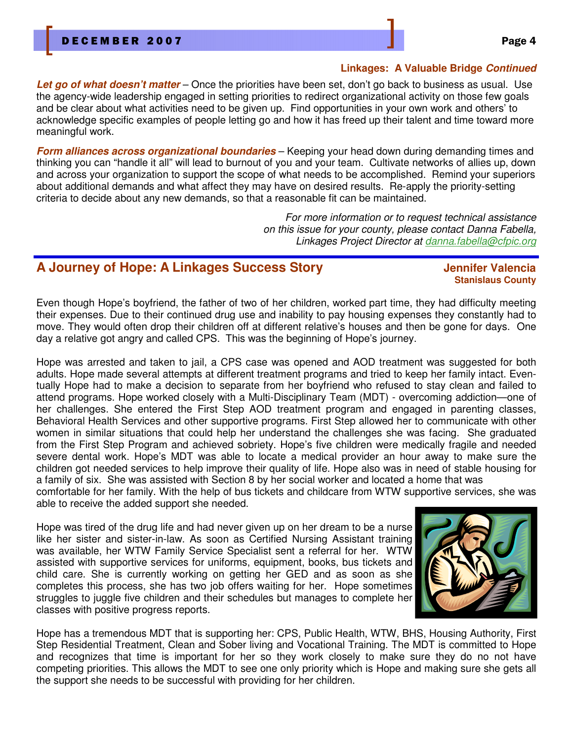### **Linkages: A Valuable Bridge Continued**

**Let go of what doesn't matter** – Once the priorities have been set, don't go back to business as usual. Use the agency-wide leadership engaged in setting priorities to redirect organizational activity on those few goals and be clear about what activities need to be given up. Find opportunities in your own work and others' to acknowledge specific examples of people letting go and how it has freed up their talent and time toward more meaningful work.

**Form alliances across organizational boundaries** – Keeping your head down during demanding times and thinking you can "handle it all" will lead to burnout of you and your team. Cultivate networks of allies up, down and across your organization to support the scope of what needs to be accomplished. Remind your superiors about additional demands and what affect they may have on desired results. Re-apply the priority-setting criteria to decide about any new demands, so that a reasonable fit can be maintained.

> For more information or to request technical assistance on this issue for your county, please contact Danna Fabella, Linkages Project Director at danna.fabella@cfpic.org

### **A Journey of Hope: A Linkages Success Story Jennifer Valencia**

# **Stanislaus County**

Even though Hope's boyfriend, the father of two of her children, worked part time, they had difficulty meeting their expenses. Due to their continued drug use and inability to pay housing expenses they constantly had to move. They would often drop their children off at different relative's houses and then be gone for days. One day a relative got angry and called CPS. This was the beginning of Hope's journey.

Hope was arrested and taken to jail, a CPS case was opened and AOD treatment was suggested for both adults. Hope made several attempts at different treatment programs and tried to keep her family intact. Eventually Hope had to make a decision to separate from her boyfriend who refused to stay clean and failed to attend programs. Hope worked closely with a Multi-Disciplinary Team (MDT) - overcoming addiction—one of her challenges. She entered the First Step AOD treatment program and engaged in parenting classes, Behavioral Health Services and other supportive programs. First Step allowed her to communicate with other women in similar situations that could help her understand the challenges she was facing. She graduated from the First Step Program and achieved sobriety. Hope's five children were medically fragile and needed severe dental work. Hope's MDT was able to locate a medical provider an hour away to make sure the children got needed services to help improve their quality of life. Hope also was in need of stable housing for a family of six. She was assisted with Section 8 by her social worker and located a home that was

comfortable for her family. With the help of bus tickets and childcare from WTW supportive services, she was able to receive the added support she needed.

Hope was tired of the drug life and had never given up on her dream to be a nurse like her sister and sister-in-law. As soon as Certified Nursing Assistant training was available, her WTW Family Service Specialist sent a referral for her. WTW assisted with supportive services for uniforms, equipment, books, bus tickets and child care. She is currently working on getting her GED and as soon as she completes this process, she has two job offers waiting for her. Hope sometimes struggles to juggle five children and their schedules but manages to complete her classes with positive progress reports.



Hope has a tremendous MDT that is supporting her: CPS, Public Health, WTW, BHS, Housing Authority, First Step Residential Treatment, Clean and Sober living and Vocational Training. The MDT is committed to Hope and recognizes that time is important for her so they work closely to make sure they do no not have competing priorities. This allows the MDT to see one only priority which is Hope and making sure she gets all the support she needs to be successful with providing for her children.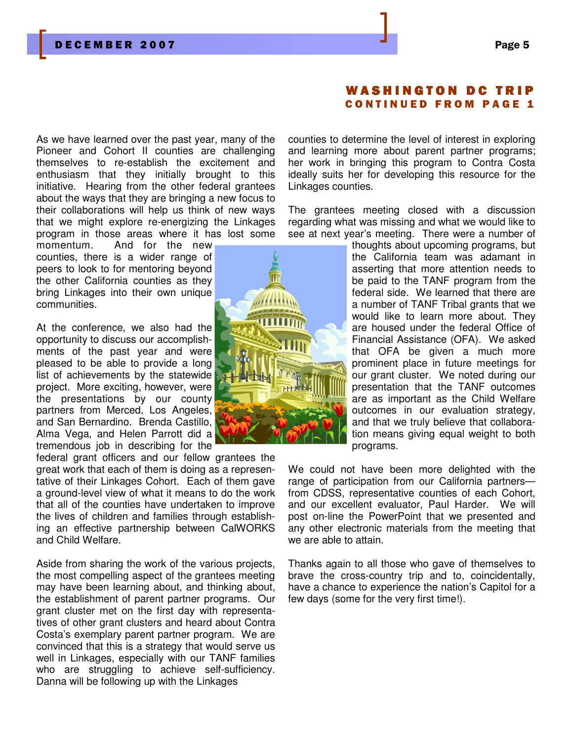### A S H I N G T O N D C T **CONTINUED FROM PAGE 1**

As we have learned over the past year, many of the Pioneer and Cohort II counties are challenging themselves to re-establish the excitement and enthusiasm that they initially brought to this initiative. Hearing from the other federal grantees about the ways that they are bringing a new focus to their collaborations will help us think of new ways that we might explore re-energizing the Linkages program in those areas where it has lost some

momentum. And for the new counties, there is a wider range of peers to look to for mentoring beyond the other California counties as they bring Linkages into their own unique communities.

At the conference, we also had the opportunity to discuss our accomplishments of the past year and were pleased to be able to provide a long list of achievements by the statewide project. More exciting, however, were the presentations by our county partners from Merced, Los Angeles, and San Bernardino. Brenda Castillo, Alma Vega, and Helen Parrott did a tremendous job in describing for the

federal grant officers and our fellow grantees the great work that each of them is doing as a representative of their Linkages Cohort. Each of them gave a ground-level view of what it means to do the work that all of the counties have undertaken to improve the lives of children and families through establishing an effective partnership between CalWORKS and Child Welfare.

Aside from sharing the work of the various projects, the most compelling aspect of the grantees meeting may have been learning about, and thinking about, the establishment of parent partner programs. Our grant cluster met on the first day with representatives of other grant clusters and heard about Contra Costa's exemplary parent partner program. We are convinced that this is a strategy that would serve us well in Linkages, especially with our TANF families who are struggling to achieve self-sufficiency. Danna will be following up with the Linkages



counties to determine the level of interest in exploring and learning more about parent partner programs; her work in bringing this program to Contra Costa ideally suits her for developing this resource for the Linkages counties.

The grantees meeting closed with a discussion regarding what was missing and what we would like to see at next year's meeting. There were a number of

> thoughts about upcoming programs, but the California team was adamant in asserting that more attention needs to be paid to the TANF program from the federal side. We learned that there are a number of TANF Tribal grants that we would like to learn more about. They are housed under the federal Office of Financial Assistance (OFA). We asked that OFA be given a much more prominent place in future meetings for our grant cluster. We noted during our presentation that the TANF outcomes are as important as the Child Welfare outcomes in our evaluation strategy, and that we truly believe that collaboration means giving equal weight to both programs.

We could not have been more delighted with the range of participation from our California partners from CDSS, representative counties of each Cohort, and our excellent evaluator, Paul Harder. We will post on-line the PowerPoint that we presented and any other electronic materials from the meeting that we are able to attain.

Thanks again to all those who gave of themselves to brave the cross-country trip and to, coincidentally, have a chance to experience the nation's Capitol for a few days (some for the very first time!).